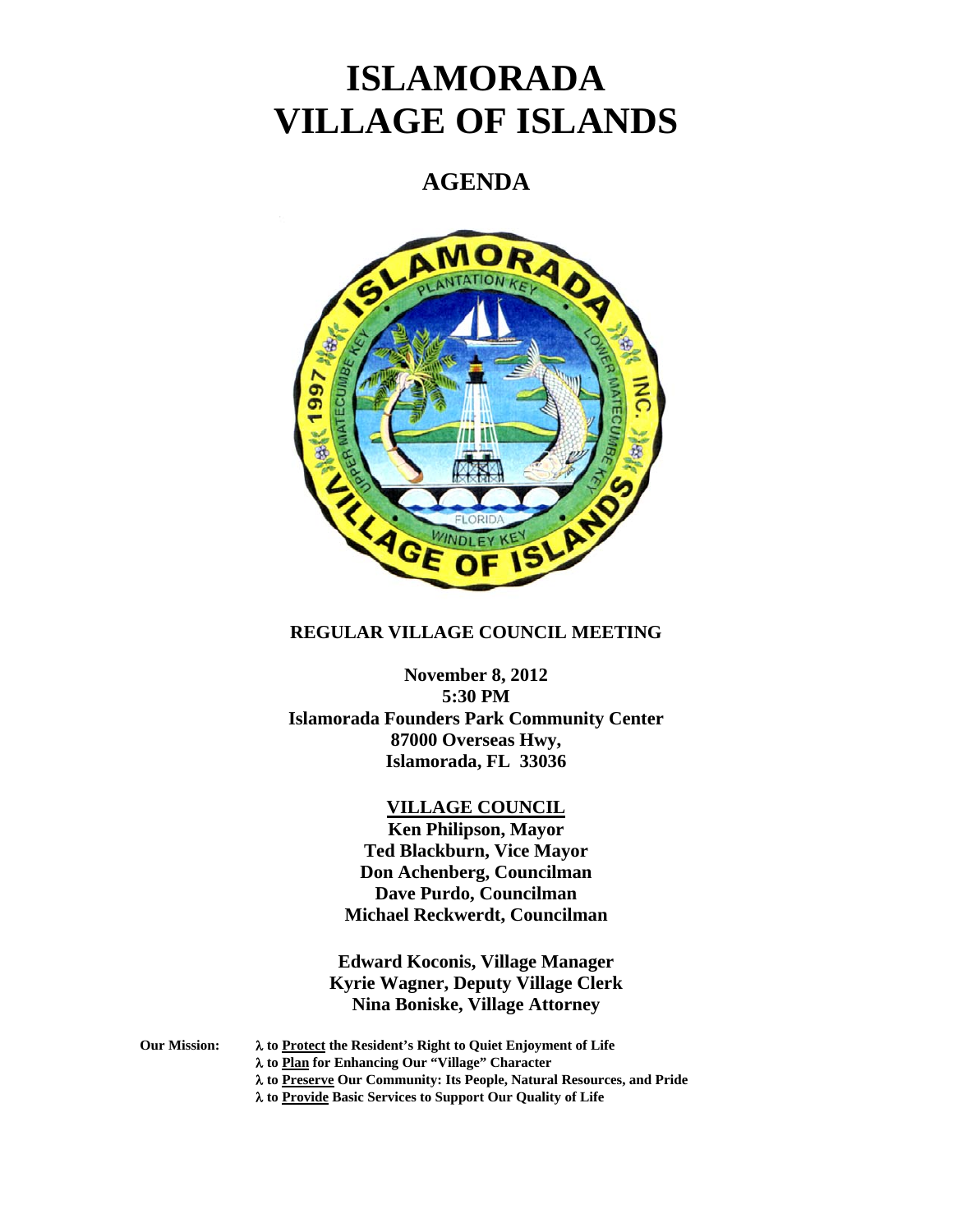# **ISLAMORADA VILLAGE OF ISLANDS**

# **AGENDA**



# **REGULAR VILLAGE COUNCIL MEETING**

**November 8, 2012 5:30 PM Islamorada Founders Park Community Center 87000 Overseas Hwy, Islamorada, FL 33036** 

## **VILLAGE COUNCIL**

**Ken Philipson, Mayor Ted Blackburn, Vice Mayor Don Achenberg, Councilman Dave Purdo, Councilman Michael Reckwerdt, Councilman** 

**Edward Koconis, Village Manager Kyrie Wagner, Deputy Village Clerk Nina Boniske, Village Attorney** 

**Our Mission: to Protect the Resident's Right to Quiet Enjoyment of Life** 

 **to Plan for Enhancing Our "Village" Character** 

 **to Preserve Our Community: Its People, Natural Resources, and Pride** 

 **to Provide Basic Services to Support Our Quality of Life**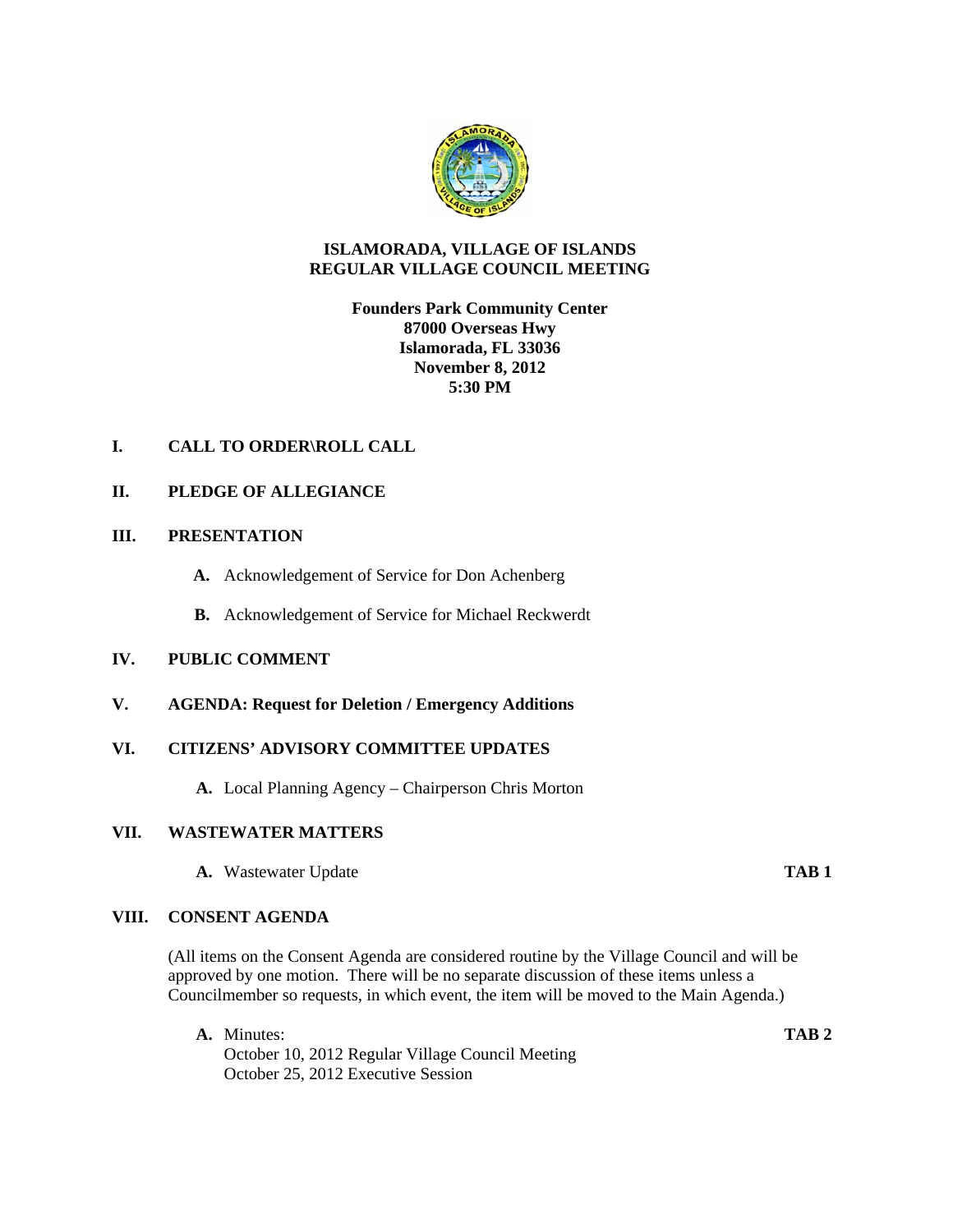

### **ISLAMORADA, VILLAGE OF ISLANDS REGULAR VILLAGE COUNCIL MEETING**

### **Founders Park Community Center 87000 Overseas Hwy Islamorada, FL 33036 November 8, 2012 5:30 PM**

# **I. CALL TO ORDER\ROLL CALL**

### **II. PLEDGE OF ALLEGIANCE**

#### **III. PRESENTATION**

- **A.** Acknowledgement of Service for Don Achenberg
- **B.** Acknowledgement of Service for Michael Reckwerdt

### **IV. PUBLIC COMMENT**

**V. AGENDA: Request for Deletion / Emergency Additions** 

#### **VI. CITIZENS' ADVISORY COMMITTEE UPDATES**

**A.** Local Planning Agency – Chairperson Chris Morton

### **VII. WASTEWATER MATTERS**

**A.** Wastewater Update **TAB 1**

#### **VIII. CONSENT AGENDA**

(All items on the Consent Agenda are considered routine by the Village Council and will be approved by one motion. There will be no separate discussion of these items unless a Councilmember so requests, in which event, the item will be moved to the Main Agenda.)

**A.** Minutes: **TAB 2** October 10, 2012 Regular Village Council Meeting October 25, 2012 Executive Session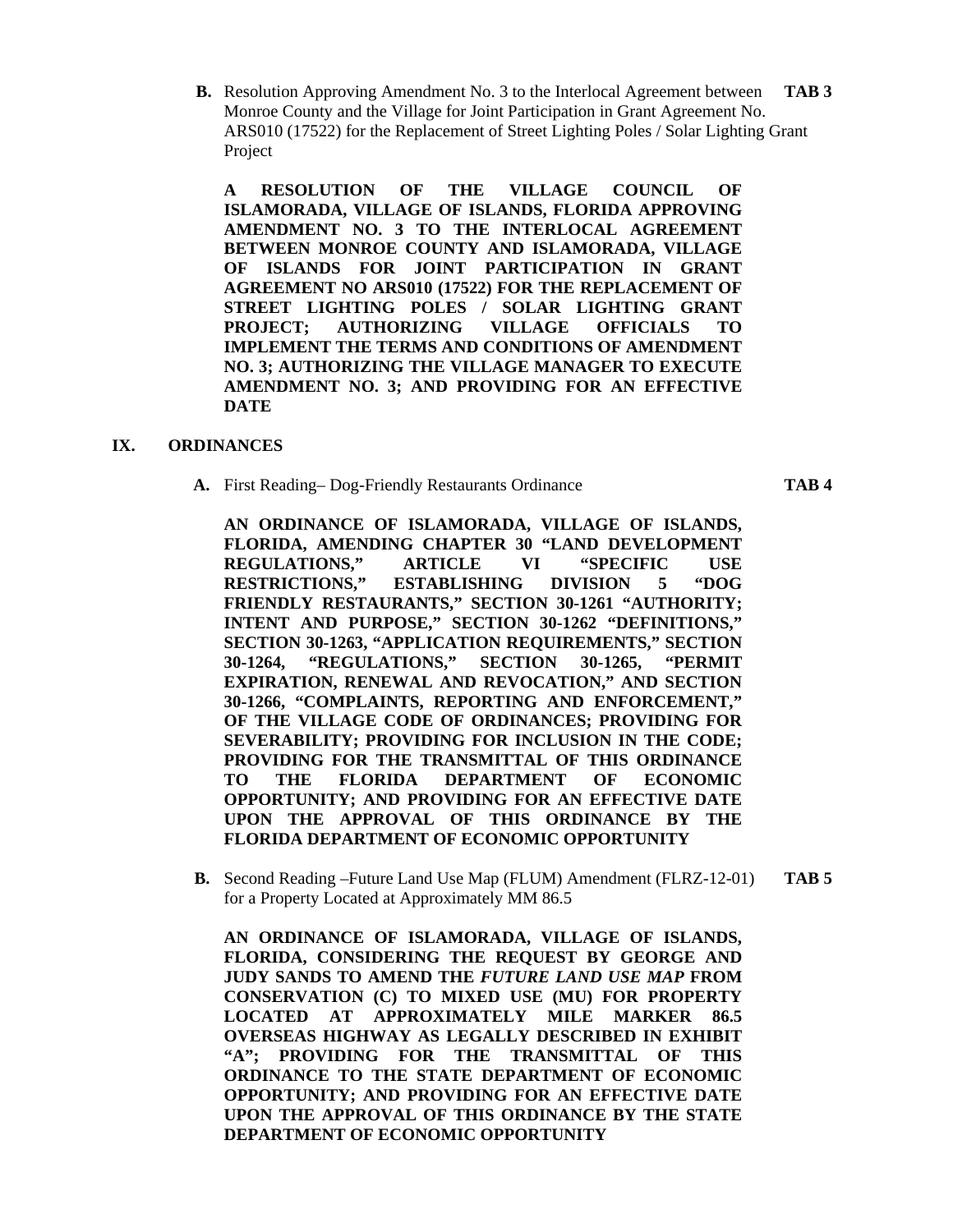**B.** Resolution Approving Amendment No. 3 to the Interlocal Agreement between **TAB 3** Monroe County and the Village for Joint Participation in Grant Agreement No. ARS010 (17522) for the Replacement of Street Lighting Poles / Solar Lighting Grant Project

**A RESOLUTION OF THE VILLAGE COUNCIL OF ISLAMORADA, VILLAGE OF ISLANDS, FLORIDA APPROVING AMENDMENT NO. 3 TO THE INTERLOCAL AGREEMENT BETWEEN MONROE COUNTY AND ISLAMORADA, VILLAGE OF ISLANDS FOR JOINT PARTICIPATION IN GRANT AGREEMENT NO ARS010 (17522) FOR THE REPLACEMENT OF STREET LIGHTING POLES / SOLAR LIGHTING GRANT PROJECT; AUTHORIZING VILLAGE OFFICIALS TO IMPLEMENT THE TERMS AND CONDITIONS OF AMENDMENT NO. 3; AUTHORIZING THE VILLAGE MANAGER TO EXECUTE AMENDMENT NO. 3; AND PROVIDING FOR AN EFFECTIVE DATE** 

#### **IX. ORDINANCES**

**A.** First Reading– Dog-Friendly Restaurants Ordinance **TAB 4** 

**AN ORDINANCE OF ISLAMORADA, VILLAGE OF ISLANDS, FLORIDA, AMENDING CHAPTER 30 "LAND DEVELOPMENT REGULATIONS," ARTICLE VI "SPECIFIC USE RESTRICTIONS," ESTABLISHING DIVISION 5 "DOG FRIENDLY RESTAURANTS," SECTION 30-1261 "AUTHORITY; INTENT AND PURPOSE," SECTION 30-1262 "DEFINITIONS," SECTION 30-1263, "APPLICATION REQUIREMENTS," SECTION 30-1264, "REGULATIONS," SECTION 30-1265, "PERMIT EXPIRATION, RENEWAL AND REVOCATION," AND SECTION 30-1266, "COMPLAINTS, REPORTING AND ENFORCEMENT," OF THE VILLAGE CODE OF ORDINANCES; PROVIDING FOR SEVERABILITY; PROVIDING FOR INCLUSION IN THE CODE; PROVIDING FOR THE TRANSMITTAL OF THIS ORDINANCE TO THE FLORIDA DEPARTMENT OF ECONOMIC OPPORTUNITY; AND PROVIDING FOR AN EFFECTIVE DATE UPON THE APPROVAL OF THIS ORDINANCE BY THE FLORIDA DEPARTMENT OF ECONOMIC OPPORTUNITY** 

**B.** Second Reading –Future Land Use Map (FLUM) Amendment (FLRZ-12-01) **TAB 5**  for a Property Located at Approximately MM 86.5

**AN ORDINANCE OF ISLAMORADA, VILLAGE OF ISLANDS, FLORIDA, CONSIDERING THE REQUEST BY GEORGE AND JUDY SANDS TO AMEND THE** *FUTURE LAND USE MAP* **FROM CONSERVATION (C) TO MIXED USE (MU) FOR PROPERTY LOCATED AT APPROXIMATELY MILE MARKER 86.5 OVERSEAS HIGHWAY AS LEGALLY DESCRIBED IN EXHIBIT "A"; PROVIDING FOR THE TRANSMITTAL OF THIS ORDINANCE TO THE STATE DEPARTMENT OF ECONOMIC OPPORTUNITY; AND PROVIDING FOR AN EFFECTIVE DATE UPON THE APPROVAL OF THIS ORDINANCE BY THE STATE DEPARTMENT OF ECONOMIC OPPORTUNITY**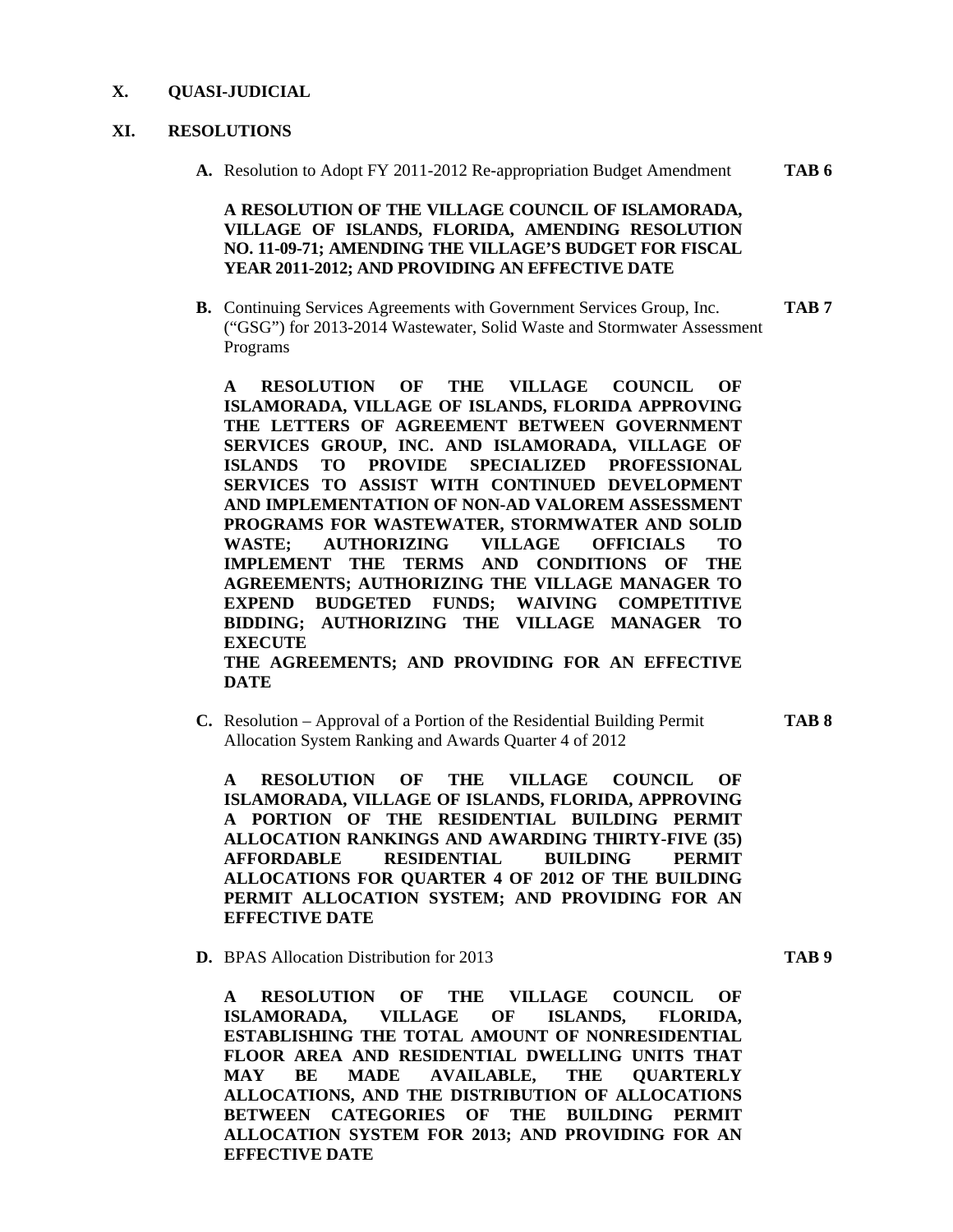#### **X. QUASI-JUDICIAL**

#### **XI. RESOLUTIONS**

**A.** Resolution to Adopt FY 2011-2012 Re-appropriation Budget Amendment **TAB 6** 

#### **A RESOLUTION OF THE VILLAGE COUNCIL OF ISLAMORADA, VILLAGE OF ISLANDS, FLORIDA, AMENDING RESOLUTION NO. 11-09-71; AMENDING THE VILLAGE'S BUDGET FOR FISCAL YEAR 2011-2012; AND PROVIDING AN EFFECTIVE DATE**

**B.** Continuing Services Agreements with Government Services Group, Inc. **TAB 7**  ("GSG") for 2013-2014 Wastewater, Solid Waste and Stormwater Assessment Programs

**A RESOLUTION OF THE VILLAGE COUNCIL OF ISLAMORADA, VILLAGE OF ISLANDS, FLORIDA APPROVING THE LETTERS OF AGREEMENT BETWEEN GOVERNMENT SERVICES GROUP, INC. AND ISLAMORADA, VILLAGE OF ISLANDS TO PROVIDE SPECIALIZED PROFESSIONAL SERVICES TO ASSIST WITH CONTINUED DEVELOPMENT AND IMPLEMENTATION OF NON-AD VALOREM ASSESSMENT PROGRAMS FOR WASTEWATER, STORMWATER AND SOLID WASTE; AUTHORIZING VILLAGE OFFICIALS TO IMPLEMENT THE TERMS AND CONDITIONS OF THE AGREEMENTS; AUTHORIZING THE VILLAGE MANAGER TO EXPEND BUDGETED FUNDS; WAIVING COMPETITIVE BIDDING; AUTHORIZING THE VILLAGE MANAGER TO EXECUTE THE AGREEMENTS; AND PROVIDING FOR AN EFFECTIVE DATE** 

**C.** Resolution – Approval of a Portion of the Residential Building Permit **TAB 8**  Allocation System Ranking and Awards Quarter 4 of 2012

**A RESOLUTION OF THE VILLAGE COUNCIL OF ISLAMORADA, VILLAGE OF ISLANDS, FLORIDA, APPROVING A PORTION OF THE RESIDENTIAL BUILDING PERMIT ALLOCATION RANKINGS AND AWARDING THIRTY-FIVE (35) AFFORDABLE RESIDENTIAL BUILDING PERMIT ALLOCATIONS FOR QUARTER 4 OF 2012 OF THE BUILDING PERMIT ALLOCATION SYSTEM; AND PROVIDING FOR AN EFFECTIVE DATE** 

**D.** BPAS Allocation Distribution for 2013 **TAB 9** 

**A RESOLUTION OF THE VILLAGE COUNCIL OF ISLAMORADA, VILLAGE OF ISLANDS, FLORIDA, ESTABLISHING THE TOTAL AMOUNT OF NONRESIDENTIAL FLOOR AREA AND RESIDENTIAL DWELLING UNITS THAT MAY BE MADE AVAILABLE, THE QUARTERLY ALLOCATIONS, AND THE DISTRIBUTION OF ALLOCATIONS BETWEEN CATEGORIES OF THE BUILDING PERMIT ALLOCATION SYSTEM FOR 2013; AND PROVIDING FOR AN EFFECTIVE DATE**